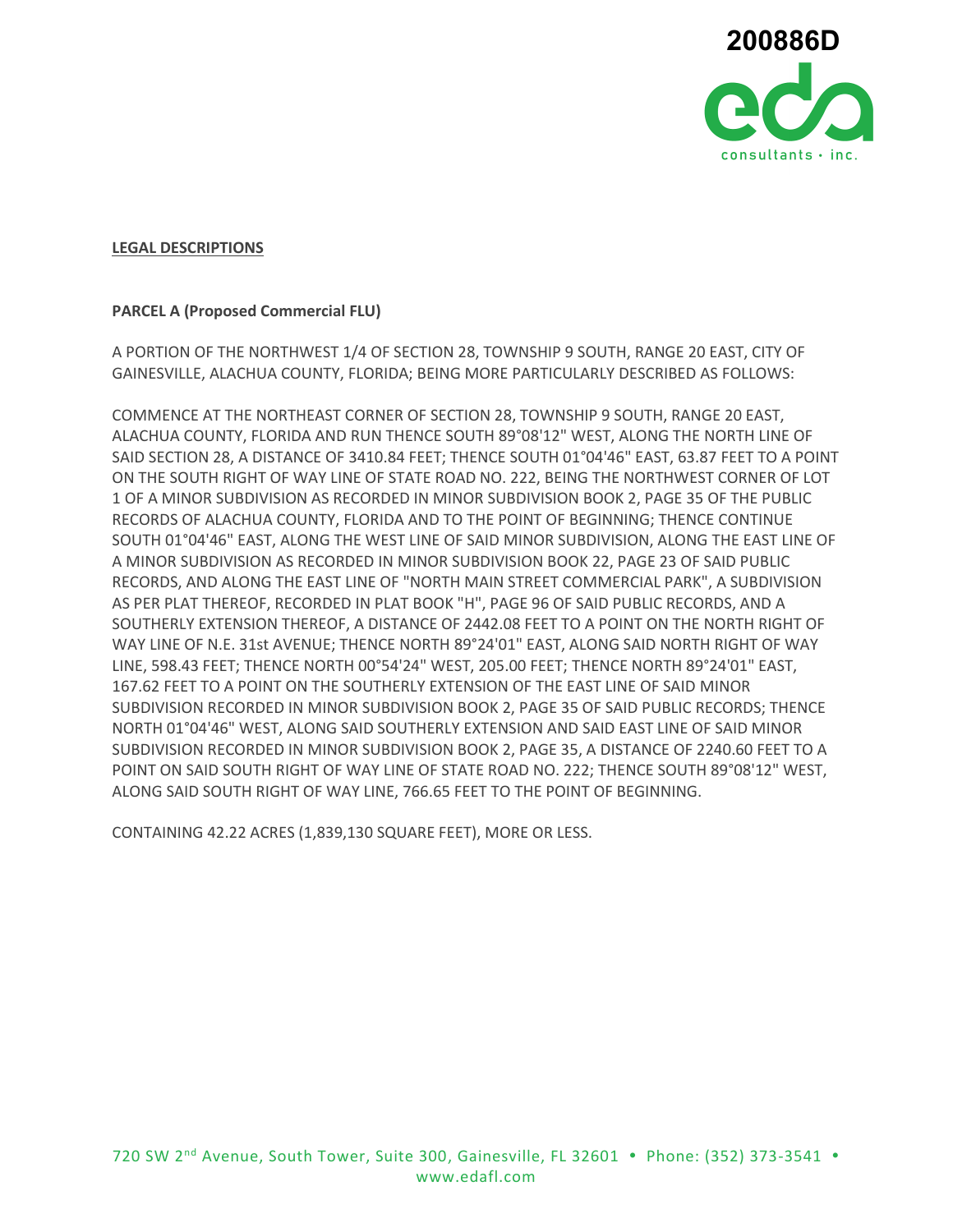

## **LEGAL DESCRIPTIONS**

## **PARCEL A (Proposed Commercial FLU)**

A PORTION OF THE NORTHWEST 1/4 OF SECTION 28, TOWNSHIP 9 SOUTH, RANGE 20 EAST, CITY OF GAINESVILLE, ALACHUA COUNTY, FLORIDA; BEING MORE PARTICULARLY DESCRIBED AS FOLLOWS:

COMMENCE AT THE NORTHEAST CORNER OF SECTION 28, TOWNSHIP 9 SOUTH, RANGE 20 EAST, ALACHUA COUNTY, FLORIDA AND RUN THENCE SOUTH 89°08'12" WEST, ALONG THE NORTH LINE OF SAID SECTION 28, A DISTANCE OF 3410.84 FEET; THENCE SOUTH 01°04'46" EAST, 63.87 FEET TO A POINT ON THE SOUTH RIGHT OF WAY LINE OF STATE ROAD NO. 222, BEING THE NORTHWEST CORNER OF LOT 1 OF A MINOR SUBDIVISION AS RECORDED IN MINOR SUBDIVISION BOOK 2, PAGE 35 OF THE PUBLIC RECORDS OF ALACHUA COUNTY, FLORIDA AND TO THE POINT OF BEGINNING; THENCE CONTINUE SOUTH 01°04'46" EAST, ALONG THE WEST LINE OF SAID MINOR SUBDIVISION, ALONG THE EAST LINE OF A MINOR SUBDIVISION AS RECORDED IN MINOR SUBDIVISION BOOK 22, PAGE 23 OF SAID PUBLIC RECORDS, AND ALONG THE EAST LINE OF "NORTH MAIN STREET COMMERCIAL PARK", A SUBDIVISION AS PER PLAT THEREOF, RECORDED IN PLAT BOOK "H", PAGE 96 OF SAID PUBLIC RECORDS, AND A SOUTHERLY EXTENSION THEREOF, A DISTANCE OF 2442.08 FEET TO A POINT ON THE NORTH RIGHT OF WAY LINE OF N.E. 31st AVENUE; THENCE NORTH 89°24'01" EAST, ALONG SAID NORTH RIGHT OF WAY LINE, 598.43 FEET; THENCE NORTH 00°54'24" WEST, 205.00 FEET; THENCE NORTH 89°24'01" EAST, 167.62 FEET TO A POINT ON THE SOUTHERLY EXTENSION OF THE EAST LINE OF SAID MINOR SUBDIVISION RECORDED IN MINOR SUBDIVISION BOOK 2, PAGE 35 OF SAID PUBLIC RECORDS; THENCE NORTH 01°04'46" WEST, ALONG SAID SOUTHERLY EXTENSION AND SAID EAST LINE OF SAID MINOR SUBDIVISION RECORDED IN MINOR SUBDIVISION BOOK 2, PAGE 35, A DISTANCE OF 2240.60 FEET TO A POINT ON SAID SOUTH RIGHT OF WAY LINE OF STATE ROAD NO. 222; THENCE SOUTH 89°08'12" WEST, ALONG SAID SOUTH RIGHT OF WAY LINE, 766.65 FEET TO THE POINT OF BEGINNING.

CONTAINING 42.22 ACRES (1,839,130 SQUARE FEET), MORE OR LESS.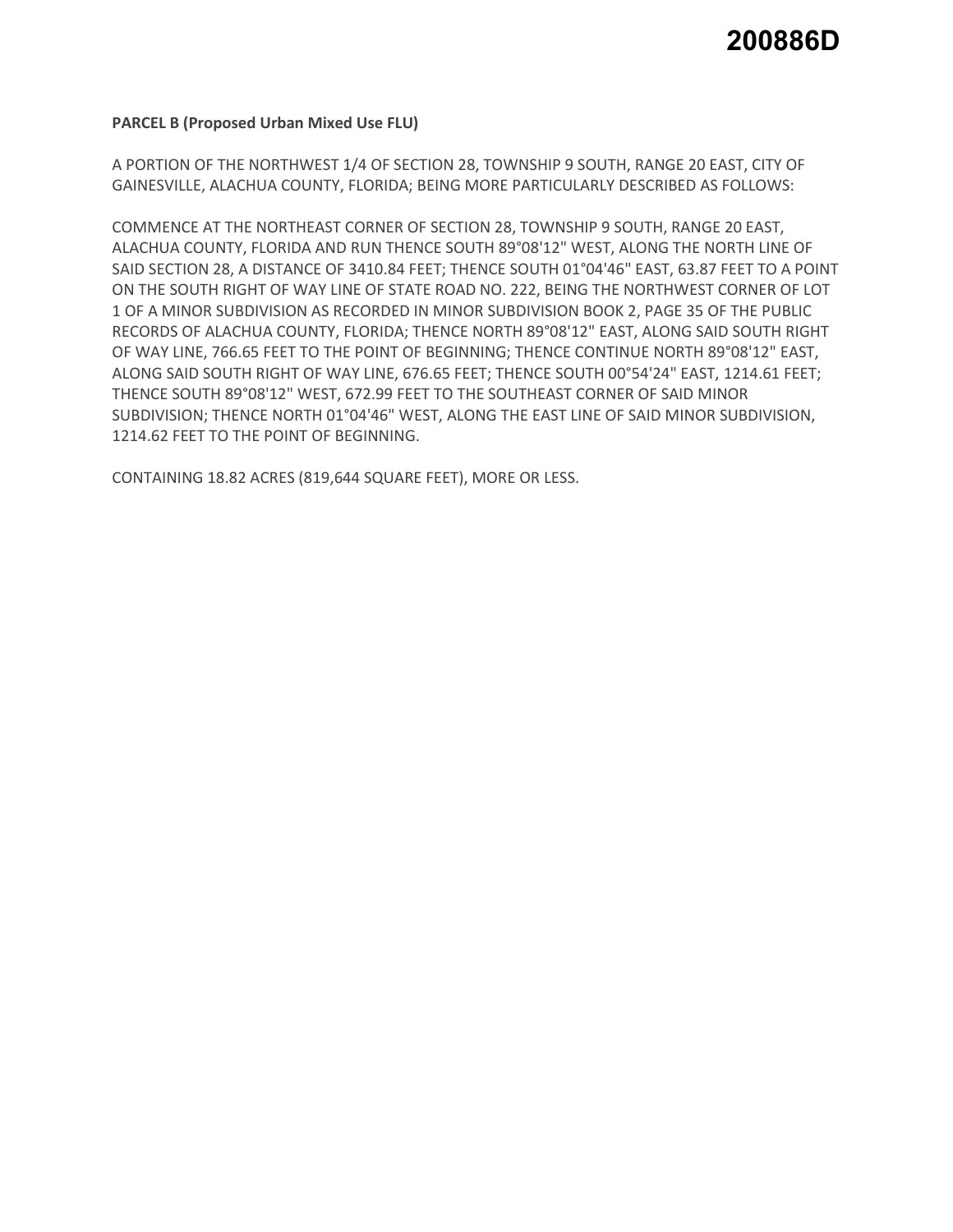## **PARCEL B (Proposed Urban Mixed Use FLU)**

A PORTION OF THE NORTHWEST 1/4 OF SECTION 28, TOWNSHIP 9 SOUTH, RANGE 20 EAST, CITY OF GAINESVILLE, ALACHUA COUNTY, FLORIDA; BEING MORE PARTICULARLY DESCRIBED AS FOLLOWS:

COMMENCE AT THE NORTHEAST CORNER OF SECTION 28, TOWNSHIP 9 SOUTH, RANGE 20 EAST, ALACHUA COUNTY, FLORIDA AND RUN THENCE SOUTH 89°08'12" WEST, ALONG THE NORTH LINE OF SAID SECTION 28, A DISTANCE OF 3410.84 FEET; THENCE SOUTH 01°04'46" EAST, 63.87 FEET TO A POINT ON THE SOUTH RIGHT OF WAY LINE OF STATE ROAD NO. 222, BEING THE NORTHWEST CORNER OF LOT 1 OF A MINOR SUBDIVISION AS RECORDED IN MINOR SUBDIVISION BOOK 2, PAGE 35 OF THE PUBLIC RECORDS OF ALACHUA COUNTY, FLORIDA; THENCE NORTH 89°08'12" EAST, ALONG SAID SOUTH RIGHT OF WAY LINE, 766.65 FEET TO THE POINT OF BEGINNING; THENCE CONTINUE NORTH 89°08'12" EAST, ALONG SAID SOUTH RIGHT OF WAY LINE, 676.65 FEET; THENCE SOUTH 00°54'24" EAST, 1214.61 FEET; THENCE SOUTH 89°08'12" WEST, 672.99 FEET TO THE SOUTHEAST CORNER OF SAID MINOR SUBDIVISION; THENCE NORTH 01°04'46" WEST, ALONG THE EAST LINE OF SAID MINOR SUBDIVISION, 1214.62 FEET TO THE POINT OF BEGINNING.

CONTAINING 18.82 ACRES (819,644 SQUARE FEET), MORE OR LESS.